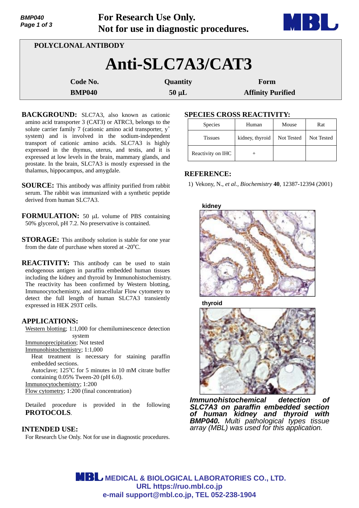| Page 1 of 3 |                     | Not for use in diagnostic procedures. | <b>THE DESIGNATION</b>   | <b>Lo</b> |
|-------------|---------------------|---------------------------------------|--------------------------|-----------|
|             | POLYCLONAL ANTIBODY |                                       |                          |           |
|             |                     | Anti-SLC7A3/CAT3                      |                          |           |
|             | Code No.            | <b>Quantity</b>                       | Form                     |           |
|             | <b>BMP040</b>       | $50 \mu L$                            | <b>Affinity Purified</b> |           |

**For Research Use Only.**

- BACKGROUND: SLC7A3, also known as cationic amino acid transporter 3 (CAT3) or ATRC3, belongs to the solute carrier family 7 (cationic amino acid transporter,  $y^+$ system) and is involved in the sodium-independent transport of cationic amino acids. SLC7A3 is highly expressed in the thymus, uterus, and testis, and it is expressed at low levels in the brain, mammary glands, and prostate. In the brain, SLC7A3 is mostly expressed in the thalamus, hippocampus, and amygdale.
- **SOURCE:** This antibody was affinity purified from rabbit serum. The rabbit was immunized with a synthetic peptide derived from human SLC7A3.
- **FORMULATION:** 50 µL volume of PBS containing 50% glycerol, pH 7.2. No preservative is contained.
- **STORAGE:** This antibody solution is stable for one year from the date of purchase when stored at  $-20^{\circ}$ C.
- **REACTIVITY:** This antibody can be used to stain endogenous antigen in paraffin embedded human tissues including the kidney and thyroid by Immunohistochemistry. The reactivity has been confirmed by Western blotting, Immunocytochemistry, and intracellular Flow cytometry to detect the full length of human SLC7A3 transiently expressed in HEK 293T cells.

## **APPLICATIONS:**

*BMP040* 

Western blotting; 1:1,000 for chemiluminescence detection system

Immunoprecipitation; Not tested Immunohistochemistry; 1:1,000

Heat treatment is necessary for staining paraffin embedded sections.

Autoclave; 125°C for 5 minutes in 10 mM citrate buffer containing 0.05% Tween-20 (pH 6.0).

Immunocytochemistry; 1:200

Flow cytometry; 1:200 (final concentration)

Detailed procedure is provided in the following **PROTOCOLS**.

# **INTENDED USE:**

For Research Use Only. Not for use in diagnostic procedures.

# **SPECIES CROSS REACTIVITY:**

| <b>Species</b>    | Human           | Mouse      | Rat        |
|-------------------|-----------------|------------|------------|
| <b>Tissues</b>    | kidney, thyroid | Not Tested | Not Tested |
| Reactivity on IHC |                 |            |            |

# **REFERENCE:**

1) Vekony, N., *et al., Biochemistry* **40**, 12387-12394 (2001)



**thyroid**



*Immunohistochemical detection of SLC7A3 on paraffin embedded section of human kidney and thyroid with BMP040. Multi pathological types tissue array (MBL) was used for this application.*

**MBL** MEDICAL & BIOLOGICAL LABORATORIES CO., LTD. **URL https://ruo.mbl.co.jp e-mail support@mbl.co.jp, TEL 052-238-1904**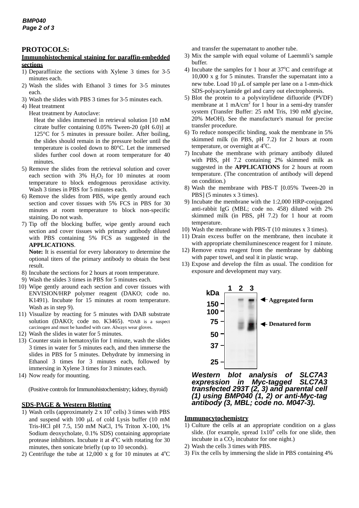### **PROTOCOLS:**

#### **Immunohistochemical staining for paraffin-embedded sections**

- 1) Deparaffinize the sections with Xylene 3 times for 3-5 minutes each.
- 2) Wash the slides with Ethanol 3 times for 3-5 minutes each.
- 3) Wash the slides with PBS 3 times for 3-5 minutes each.
- 4) Heat treatment
	- Heat treatment by Autoclave:

Heat the slides immersed in retrieval solution [10 mM citrate buffer containing 0.05% Tween-20 (pH 6.0)] at 125°C for 5 minutes in pressure boiler. After boiling, the slides should remain in the pressure boiler until the temperature is cooled down to 80°C. Let the immersed slides further cool down at room temperature for 40 minutes.

- 5) Remove the slides from the retrieval solution and cover each section with  $3\%$  H<sub>2</sub>O<sub>2</sub> for 10 minutes at room temperature to block endogenous peroxidase activity. Wash 3 times in PBS for 5 minutes each.
- 6) Remove the slides from PBS, wipe gently around each section and cover tissues with 5% FCS in PBS for 30 minutes at room temperature to block non-specific staining. Do not wash.
- 7) Tip off the blocking buffer, wipe gently around each section and cover tissues with primary antibody diluted with PBS containing 5% FCS as suggested in the **APPLICATIONS**.

**Note:** It is essential for every laboratory to determine the optional titers of the primary antibody to obtain the best result.

- 8) Incubate the sections for 2 hours at room temperature.
- 9) Wash the slides 3 times in PBS for 5 minutes each.
- 10) Wipe gently around each section and cover tissues with ENVISION/HRP polymer reagent (DAKO; code no. K1491). Incubate for 15 minutes at room temperature. Wash as in step 9).
- 11) Visualize by reacting for 5 minutes with DAB substrate solution (DAKO; code no. K3465). \*DAB is a suspect carcinogen and must be handled with care. Always wear gloves.
- 12) Wash the slides in water for 5 minutes.
- 13) Counter stain in hematoxylin for 1 minute, wash the slides 3 times in water for 5 minutes each, and then immerse the slides in PBS for 5 minutes. Dehydrate by immersing in Ethanol 3 times for 3 minutes each, followed by immersing in Xylene 3 times for 3 minutes each.
- 14) Now ready for mounting.

(Positive controls for Immunohistochemistry; kidney, thyroid)

#### **SDS-PAGE & Western Blotting**

- 1) Wash cells (approximately  $2 \times 10^6$  cells) 3 times with PBS and suspend with 100  $\mu$ L of cold Lysis buffer (10 mM Tris-HCl pH 7.5, 150 mM NaCl, 1% Triton X-100, 1% Sodium deoxycholate, 0.1% SDS) containing appropriate protease inhibitors. Incubate it at  $4^{\circ}$ C with rotating for 30 minutes, then sonicate briefly (up to 10 seconds).
- 2) Centrifuge the tube at 12,000 x g for 10 minutes at  $4^{\circ}$ C

and transfer the supernatant to another tube.

- 3) Mix the sample with equal volume of Laemmli's sample buffer.
- 4) Incubate the samples for 1 hour at  $37^{\circ}$ C and centrifuge at 10,000 x g for 5 minutes. Transfer the supernatant into a new tube. Load 10 µL of sample per lane on a 1-mm-thick SDS-polyacrylamide gel and carry out electrophoresis.
- 5) Blot the protein to a polyvinylidene difluoride (PVDF) membrane at  $1 \text{ mA/cm}^2$  for  $1 \text{ hour}$  in a semi-dry transfer system (Transfer Buffer: 25 mM Tris, 190 mM glycine, 20% MeOH). See the manufacture's manual for precise transfer procedure.
- 6) To reduce nonspecific binding, soak the membrane in 5% skimmed milk (in PBS, pH 7.2) for 2 hours at room temperature, or overnight at 4°C.
- 7) Incubate the membrane with primary antibody diluted with PBS, pH 7.2 containing 2% skimmed milk as suggested in the **APPLICATIONS** for 2 hours at room temperature. (The concentration of antibody will depend on condition.)
- 8) Wash the membrane with PBS-T [0.05% Tween-20 in PBS] (5 minutes x 3 times).
- 9) Incubate the membrane with the 1:2,000 HRP-conjugated anti-rabbit IgG (MBL; code no. 458) diluted with 2% skimmed milk (in PBS, pH 7.2) for 1 hour at room temperature.
- 10) Wash the membrane with PBS-T (10 minutes x 3 times).
- 11) Drain excess buffer on the membrane, then incubate it with appropriate chemiluminescence reagent for 1 minute.
- 12) Remove extra reagent from the membrane by dabbing with paper towel, and seal it in plastic wrap.
- 13) Expose and develop the film as usual. The condition for exposure and development may vary.



*Western blot analysis of SLC7A3 expression in Myc-tagged SLC7A3 transfected 293T (2, 3) and parental cell (1) using BMP040 (1, 2) or anti-Myc-tag antibody (3, MBL; code no. M047-3).* 

#### **Immunocytochemistry**

- 1) Culture the cells at an appropriate condition on a glass slide. (for example, spread  $1x10^4$  cells for one slide, then incubate in a  $CO<sub>2</sub>$  incubator for one night.)
- 2) Wash the cells 3 times with PBS.
- 3) Fix the cells by immersing the slide in PBS containing 4%